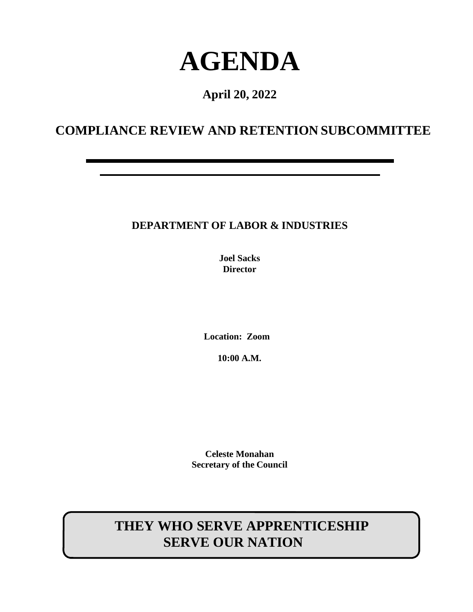# **AGENDA**

## **April 20, 2022**

## **COMPLIANCE REVIEW AND RETENTION SUBCOMMITTEE**

### **DEPARTMENT OF LABOR & INDUSTRIES**

**Joel Sacks Director**

**Location: Zoom** 

**10:00 A.M.**

**Celeste Monahan Secretary of the Council**

# **THEY WHO SERVE APPRENTICESHIP SERVE OUR NATION**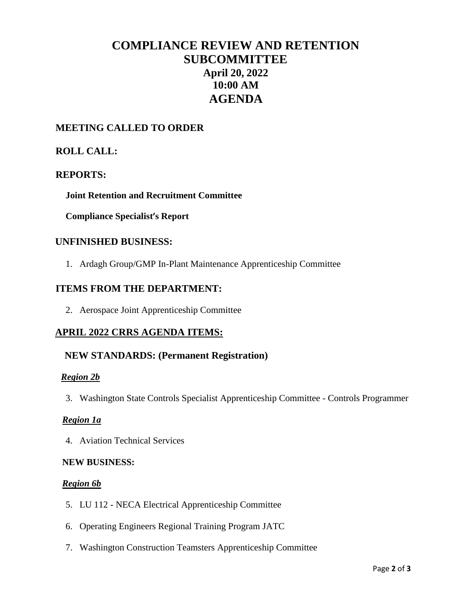## **COMPLIANCE REVIEW AND RETENTION SUBCOMMITTEE April 20, 2022 10:00 AM AGENDA**

#### **MEETING CALLED TO ORDER**

#### **ROLL CALL:**

#### **REPORTS:**

**Joint Retention and Recruitment Committee**

**Compliance Specialist's Report**

#### **UNFINISHED BUSINESS:**

1. Ardagh Group/GMP In-Plant Maintenance Apprenticeship Committee

#### **ITEMS FROM THE DEPARTMENT:**

2. Aerospace Joint Apprenticeship Committee

#### **APRIL 2022 CRRS AGENDA ITEMS:**

#### **NEW STANDARDS: (Permanent Registration)**

#### *Region 2b*

3. Washington State Controls Specialist Apprenticeship Committee - Controls Programmer

#### *Region 1a*

4. Aviation Technical Services

#### **NEW BUSINESS:**

#### *Region 6b*

- 5. LU 112 NECA Electrical Apprenticeship Committee
- 6. Operating Engineers Regional Training Program JATC
- 7. Washington Construction Teamsters Apprenticeship Committee